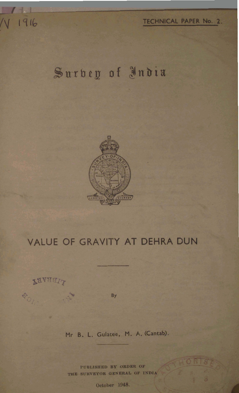## Surbey of India



## VALUE OF GRAVITY AT DEHRA DUN

**LAARATA** 

 $\phi_{O_f}$ 

 $\vert \vert$ 

V 1916

By

Mr B. L. Gulatee, M. A. (Cantab).

PUBLISHED BY ORDER OF THE SURVEYOR GENERAL OF INDIA

October 1948.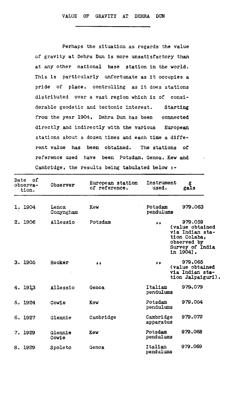Perhaps the situation as regards **the** value of gravity at Dehra Dun is more unsatisfactory than at **any** other national base station in the world. This is particularly unfortunate as it occupies a pride of place, controlling as it does stations distributed over a vast region which is of considerable geodetic **and** tectonic interest. Starting from the year 1904, Dehra Dun has been connected directly **and** indirectly with the various European stations about a dozen times and each time a different value has been obtained. The stations of reference used have been Potsdam, Genoa, Kew and Cambridge, the results being tabulated below :-

| Date of<br>observa-<br>tion. | Observer           | European station<br>of reference. | Instrument<br>used.    | g<br>gals                                                                                                            |
|------------------------------|--------------------|-----------------------------------|------------------------|----------------------------------------------------------------------------------------------------------------------|
| 1. 1904                      | Lenox<br>Conyngham | Kew                               | Potsdam<br>pendulums   | 979,063                                                                                                              |
| 2. 1906                      | Allessio           | Potsdam                           | $, \, \,$              | 979.059<br>(value obtained<br>via Indian sta-<br>tion Colaba,<br>observed by<br>Survey of India<br>in 1904) <b>.</b> |
| 3. 1905                      | Hecker             | $^{\bullet}$                      | $\bullet$              | 979.065<br>(value obtained<br>via Indian sta-<br>tion Jalpaiguri).                                                   |
| 4. 1913                      | Allessio           | Genoa                             | Italian<br>pendulums   | 979.079                                                                                                              |
| 5. 1924                      | Cowie              | Kew                               | Potsdam<br>pendulums   | 979.054                                                                                                              |
| 6. 1927                      | Glennie            | Cambridge                         | Cambridge<br>apparatus | 979.072                                                                                                              |
| 7. 1929                      | Glennie<br>Cowie   | Kew                               | Potsdam<br>pendulums   | 979.068                                                                                                              |
| 8. 1929                      | Spoleto            | Genoa                             | Italian<br>pendulums   | 979.069                                                                                                              |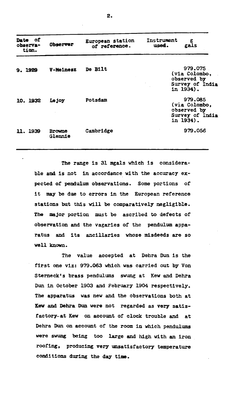| Date of<br>observa-<br>tion. | <b>Observer</b>          | European station<br>of reference. | Instrument<br>g<br>used.<br>gals                                        |
|------------------------------|--------------------------|-----------------------------------|-------------------------------------------------------------------------|
| 9. 1929                      | <b>V-Meinesz</b>         | De Bilt                           | 979.075<br>(via Colombo,<br>observed by<br>Survey of India<br>in 1934). |
| 10. 1932                     | Le joy                   | Potsdam                           | 979.085<br>(via Colombo.<br>observed by<br>Survey of India<br>in 1934). |
| <b>11, 1939</b>              | <b>Browne</b><br>Glennie | Cambridge                         | 979.056                                                                 |

The range is 31 **mgals** which is considerable and is not in accordance with the accuracy expected of **pendulum** observations. Some portions of it may be **due** to errors in the European reference stations but this will be comparatively negligible. The major portion must be ascribed to defects of observation **and** the vagaries of the pendulum apparatus and its ancillaries whose misdeeds are so well **known.** 

The value accepted at Dehra Dun is the first one viz: 979.063 which **was** carried out by Von Sterneck's brass pendulums swung at Kew and Dehra Dun in October 1903 **and** February 1904 respectively. The apparatus was new and the observations **both** at **lbv** and Dehra **Dun were** not regarded as **very** satisfactory-at **Kew** on account of clock trouble and at **Dehra** Dun on account of the room in which pendulums were swung too **large and** high with **an** iron roofing, producing very unsatisfactory temperature conditions during the day time.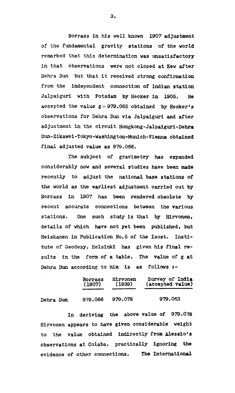**Borrass in his well known 1907 adjustment of the fundamental gravity stations of the world remarked that this determination was unsatisfactory in that observations were not closed at Kew after Dehra** Dun **but that it received strong confirmation from the independent connection of Indian station Jalpaiguri with Potsdam by Hecker in 1905. He accepted the value g=979.065 obtained by Hecker's observations for Dehra Dun via Jalpaiguri and after adjustment in the circuit Hongkong-Jalpaiguri-Dehra**  Dun-Zikawei-Tokyo-Washington-Munich-Vienna obtained **final adjusted value as 979.066.** 

**The subject of gravimetry has expanded considerably now and several studies have been made recently to adjust the national base stations of the world as the earliest adjustment carried out by Borrass in 1907 has been rendered obsolete by recent accurate connections between the various stations. One such study is that by Hirvonen, details of which have not yet been published, but Heiskanen in Publication No.5 of the Isost. Institute of Geodesy, Helsinki has given his final re**sults in the form of a table. The value of g at **Dehra** Dun **according to him is as follows t-**

|           | <b>Borrass</b> | Hirvonen | Survey of India  |
|-----------|----------------|----------|------------------|
|           | (1907)         | (1939)   | (accepted value) |
| Dehra Dun | 979.066        | 979.078  | 979.063          |

**In deriving the above value of 979.078 Hirvonen appears to have given considerable weight to the value obtained indirectly from Alessiors observations at Colaba, practically ignoring the evidence of other connections. The International** 

3.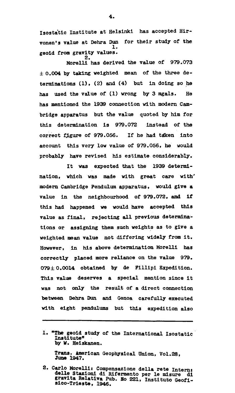Isostatic Institute at Helsinki has accepted Hirvonen's value at Dehra Dun for their study of **the**  1. geoid from gravity values.

2. Morelll has derived the value of 979.073 **f** 0.004 by taking weighted mean of the **three** determinations (1) , **(2) and (4)** but in doing so he has used the value of (1) wrong by 3 mgals. He has mentioned the 1939 connection with modern Cambridge apparatus but the value quoted by him for this determination is 979.072 instead of the correct figure of 979.056. If he had taken into account this very low value of 979.056, he would probably have revised **his** estimate.considerab1y.

It was expected that the 1939 determination, which **was** made with great care with\* modern Cambridge Pendulum apparatus, would give a value in the neighbourhood of 979.072, and if this had happened **we** would have accepted this value as final, rejecting all previous determinations or assigning them such weights **as** to give a weighted **mean** value not differing widely **from** it. However, in his above determination Morelli has correctly placed more reliance on the **value** 979.  $079 \pm 0.0014$  obtained by de Fillipi Expedition. This value deserves a special mention since it was not only the result of a direct connection between **Dehra Dun** and Cenoa carefully executed with eight pendulums but this expedition also

1. **uThe** geoid study of the International Isostatic Institute" by **W.** Heiskanen.

Trans. American Geophysical Union, Vol.28, **1947.** 

2. Carlo Morelli: Compensazione della rete Intern: delle Stazioni di Rifermento per le misure di<br>gravita Relativa Pub. No 221, Instituto Geofi-<br>sico-Trieste, 1946. gravita Relativa Pub. No 221, Instituto Geofi-

4.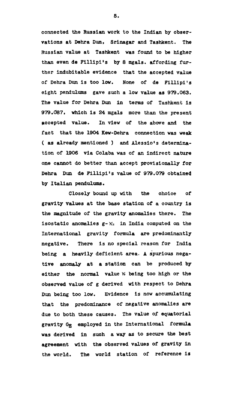connected the Russian work to the Indian by observations at Dehra Dun, Srinagar and Tashkent. The Russian value at Tashkent was found to be higher than even **de** Flllipi's by 8 mgals. affording further indubitable evidence that the accepted value of Dehra **Dun** is too low. None of de Fillipils eight pendulums gave such a low value as 979.063. The value for Dehra Dun in terms of Tashkent is 979.C187, whlch is 24 mgals more **than** the present pccepted value. In view of the abwe **and** the fact that the 1904 Kew-Dehra connection was weak ( as already mentioned ) and Alessio's determination of 1906 via Colaba was of **an** indirect nature one cannot do better than accept provisionally for Dehra Dun de Fillipi's value of 979.079 obtained by Italian pendulums.

Closely bound up wlth the choice of gravity values at the base station of a country is the magnitude of the gravity anomalies there. The isostatic anomalies  $g - Y_{c1}$  in India computed on the International gravity formula **are** predominantly negative. There is no special reason for India being a heavily deficient area. A spurious negative anomaly at a station can be produced by either the normal value  $K$  being too high or the observed value of g derived with respect to Dehra Dun being too low. Evidence is now accumulating that the predominance of negative anomalies are due to both these causes. The value of equatorial gravity G<sub>R</sub> employed in the International formula was derived in such a way **as** to secure the best agreement with the observed values of gravity in the world. The world station of reference is

5.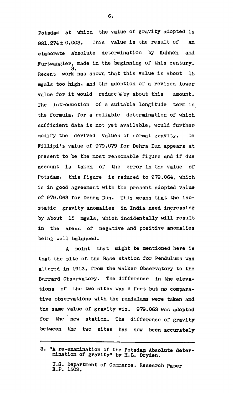potsdam at which the value of gravity adopted is 981.274f 0.003. This value is the result of **an**  elaborate absolute determination by **Kuhnen and**  Furtwangler, made in the beginning of this century.<br>3.<br>Recent work has shown that this value is about 15 work has shown that this value is about mgals too high, and the adoption of a revised lower value for it would reduce % by about this amount. The introduction of a suitable longitude term in the formula, for a reliable determination of which sufficient data is not **yet** available, would further modify the derived values of normal gravity. De Fillipi's value of 979.079 for Dehra Dun appears at present to be the most reasonable figure and if due account is taken of the error in the value of Potsdam, this figure is reduced to 979.064, which is in good agreement with the present adopted value of 979.063 for Dehra Dun. This means that the isostatic gravity anomalies in India need increasing by about 15 mgals, which incidentally will result in the areas of negative and positive anomalies being well balanced.

**<sup>A</sup>**point that might be mentioned here is that the site of. the Base station for Pendulums was altered in 1913, from the Walker Observatory to the Burrard Observatory. The difference in the elevations of the two sites was 9 feet but no comparative observations with the pendulums were taken and the same value of gravity viz. 979.063 was adopted for the new station. The difference of gravity between the two sites has now been accurately

<sup>3. &</sup>quot;A re-examination of the Potsdam Absolute determination of gravitym by H.L. Dryden.

U.S. Department of Commerce, Research Paper R.P. 1502.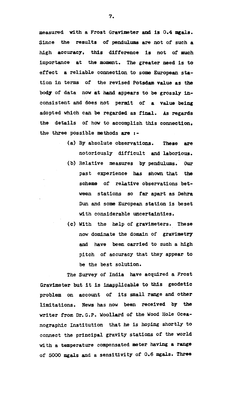measumd with a Frost Gravimeter and **Is** 0.4 mgals. Since the results of pendulums are not of such a high accuracy, this difference is not **of** much importance at the moment. The greater need is **to**  effect a reliable connection to some European station in terms of the revised Potsdam value as the **body** of data now at **hand** appears to be grossly inconsistent and does not permit of a value being adopted which can be regarded as final. As regards the details of **how** to accomplish this connection. the three possible methods are  $: -$ 

- (a) By absolute observations. These are notoriously difficult **and** laborious.
- (b) Relative measures by pendulums. **Our**  past experience **has** shown that the scheme of relative observations between stations so far apart as Dehra Dun **and** some European station is beset with considerable uncertainties.
- (c) With the help of gravimeters. These now dominate the domain of gravimetry **and** have been carried to such a high pitch of accuracy that they appear to be the best solution.

The Survey of India have acquired a Frost Gravimeter but it is inapplicable to this geodetic problem on account of its small range and other limitations. News has now **been** received by **the**  writer from Dr.G.P. Woollard of the Wood Hole Oceanographic Institution that he is hoping shortly to connect the principal gravity stations of the world with a temperature compensated meter having a range of 5000 mgals **and a** sensitivity of 0.6 mgals. **Three**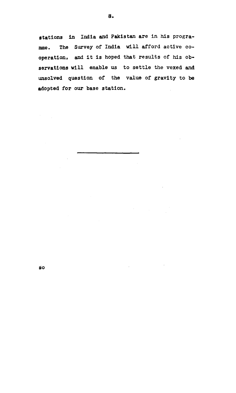stations in India and Pakistan are in his progra**mme. The Survey of India will afford active cooperation, and it is hoped that results of his observations will enable us to settle the vexed and unsolved question of the value of gravity to be adopted for our base station.** 

 $\overline{\mathbf{s}}$ o